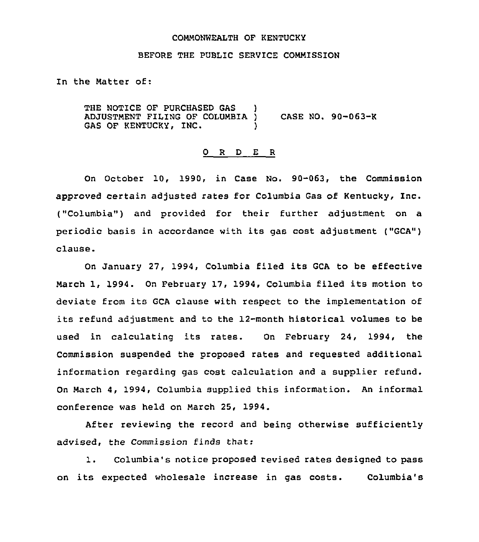## COMMONWEALTH OF KENTUCKY

### BEFORE THE PUBLIC SERVICE COMMISSION

In the Matter of:

THE NOTICE OF PURCHASED GAS ADJUSTMENT FILING OF COLUMBIA ) CASE NO. 90-063-K GAS OF KENTUCKY, INC.

## 0 <sup>R</sup> <sup>D</sup> E <sup>R</sup>

On October 10, 1990, in Case No. 90-063, the Commission approved certain adjusted rates for Columbia Gas of Kentucky, Inc. ("Columbia") and provided for their further adjustment on a periodic basis in accordance with its gas cost adjustment ("GCA") clause.

On January 27, 1994, Columbia filed its GCA to be effective March 1, 1994. On February 17, 1994, Columbia filed its motion to deviate from its GCA clause with respect to the implementation of its refund adjustment and to the 12-month historical volumes to be used in calculating its rates. On February 24, 1994, the Commission suspended the proposed rates and requested additional information regarding gas cost calculation and a supplier refund. On March 4, 1994, Columbia supplied this information. An informal conference was held on March 25, 1994.

After reviewing the record and being otherwise sufficiently advised, the Commission finds that:

1. Columbia's notice proposed revised rates designed to pass on its expected wholesale increase in gas costs. Columbia's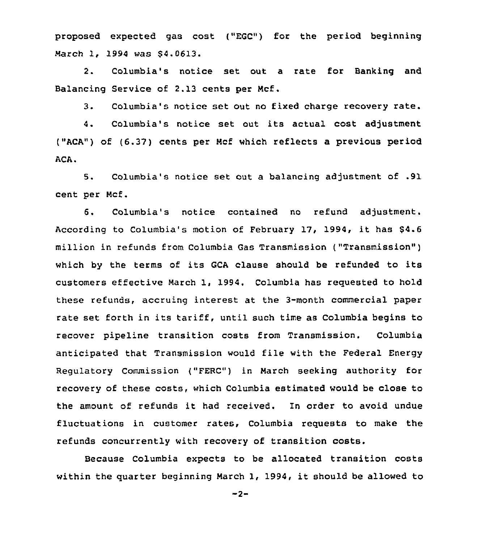proposed expected gas cost ("EGC") for the period beginning March 1, 1994 was \$4.0613.

2. Columbia's notice set out a rate for Banking and Balancing Service of 2.13 cents per Mcf.

3. Columbia's notice set out no fixed charge recovery rate.

4. Columbia's notice set out its actual cost adjustment ("ACA") of (6.37) cents per Mcf which reflects a previous period ACA.

5. Columbia's notice set out a balancing adjustment of .91 cent per Mcf.

6. Columbia's notice contained no refund adjustment. According to Columbia's motion of February 17, 1994, it has 64.6 million in refunds from Columbia Gas Transmission ("Transmission" ) which by the terms of its GCA clause should be refunded to its customers effective March 1, 1994. Columbia has requested to hold these refunds, accruing interest at the 3-month commercial paper rate set forth in its tariff, until such time as Columbia begins to recover pipeline transition costs from Transmission. Columbia anticipated that Transmission would file with the Federal Energy Regulatory Commission ("FERC") in March seeking authority for recovery of these costs, which Columbia estimated would be close to the amount of refunds it had received. In order to avoid undue fluctuations in customer rates, Columbia requests to make the refunds concurrently with recovery of transition costs.

Because Columbia expects to be allocated transition costs within the quarter beginning March 1, 1994, it should be allowed to

 $-2-$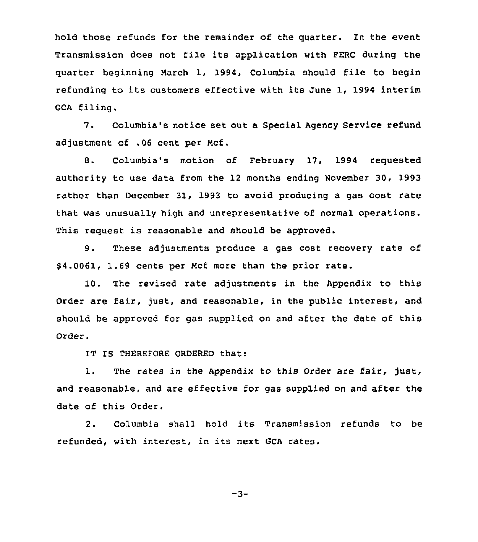hold those refunds for the remainder of the quarter. In the event Transmission does not file its application with FERC during the quarter beginning March 1, 1994, Columbia should file to begin refunding to its customers effective with its June 1, 1994 interim GCA filing.

7. Columbia's notice set out a Special Agency Service refund adjustment of .06 cent per Mcf.

8. Columbia's motion of February 17, 1994 requested authority to use data from the 12 months ending November 30, 1993 rather than December 31, 1993 to avoid producing a gas cost rate that was unusually high and unrepresentative of normal operations. This request is reasonable and should be approved.

9. These adjustments produce a gas cost recovery rate of 64.0061, 1.69 cents per Mcf more than the prior rate.

10. The revised rate adjustments in the Appendix to this Order are fair, just, and reasonable, in the public interest, and should be approved for gas supplied on and after the date of this Order.

IT IS THEREFORE ORDERED that:

1. The rates in the Appendix to this Order are fair, just, and reasonable, and are effective for gas supplied on and after the date of this Order.

2. Columbia shall hold its Transmission refunds to be refunded, with interest, in its next GCA rates.

 $-3-$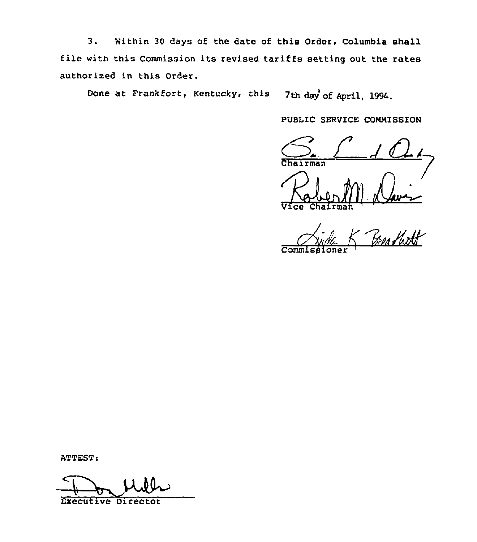3. Within <sup>30</sup> days of the date of this Order, Columbia shall file with this Commission its revised tariffs setting out the rates authorized in this Order.

Done at Frankfort, Kentucky, this  $7th$  day of April, 1994.

PUBLIC SERVICE COMMISSION

Chairman

Vice Chairmah

Commissione

ATTEST:

Executive Director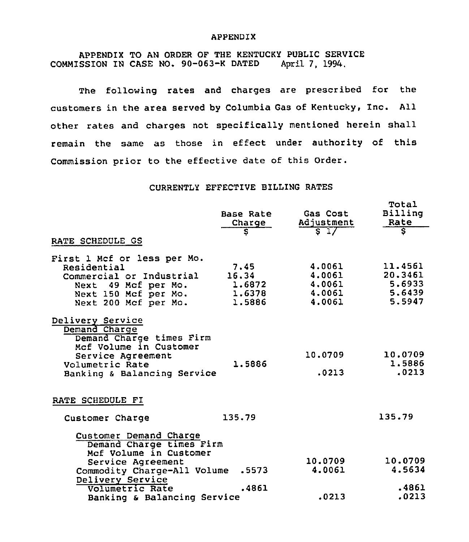#### APPENDIX

APPENDIX TO AN ORDER OF THE KENTUCKY PUBLIC SERVICE<br>SSION IN CASE NO. 90-063-K DATED April 7. 1994. COMMISSION IN CASE NO. 90-063-K DATED

The following rates and charges are prescribed for the customers in the area served by Columbia Gas of Kentucky, Inc. All other rates and charges not specifically mentioned herein shall remain the same as those in effect under authority of this Commission prior to the effective date of this Order.

# CURRENTLY EFFECTIVE BILLING RATES

|                                                                                                                                                                | Base Rate<br>Charge<br>इ                    | Gas Cost<br>Adjustment<br>$5\sqrt{1}$          | Total<br>Billing<br>Rate<br>ङ                    |
|----------------------------------------------------------------------------------------------------------------------------------------------------------------|---------------------------------------------|------------------------------------------------|--------------------------------------------------|
| RATE SCHEDULE GS                                                                                                                                               |                                             |                                                |                                                  |
| First 1 Mcf or less per Mo.<br>Residential<br>Commercial or Industrial<br>Next 49 Mcf per Mo.<br>Next 150 Mcf per Mo.<br>Next 200 Mcf per Mo.                  | 7,45<br>16.34<br>1.6872<br>1,6378<br>1.5886 | 4.0061<br>4.0061<br>4.0061<br>4.0061<br>4.0061 | 11.4561<br>20.3461<br>5.6933<br>5.6439<br>5.5947 |
| Delivery Service<br>Demand Charge<br>Demand Charge times Firm<br>Mcf Volume in Customer<br>Service Agreement<br>Volumetric Rate<br>Banking & Balancing Service | 1.5886                                      | 10.0709<br>.0213                               | 10.0709<br>1,5886<br>.0213                       |
| RATE SCHEDULE FI                                                                                                                                               |                                             |                                                |                                                  |
| Customer Charge                                                                                                                                                | 135.79                                      |                                                | 135.79                                           |
| Customer Demand Charge<br>Demand Charge times Firm<br>Mcf Volume in Customer<br>Service Agreement<br>Commodity Charge-All Volume                               | .5573                                       | 10.0709<br>4.0061                              | 10.0709<br>4.5634                                |
| Delivery Service<br>Volumetric Rate<br>Banking & Balancing Service                                                                                             | .4861                                       | .0213                                          | .4861<br>.0213                                   |